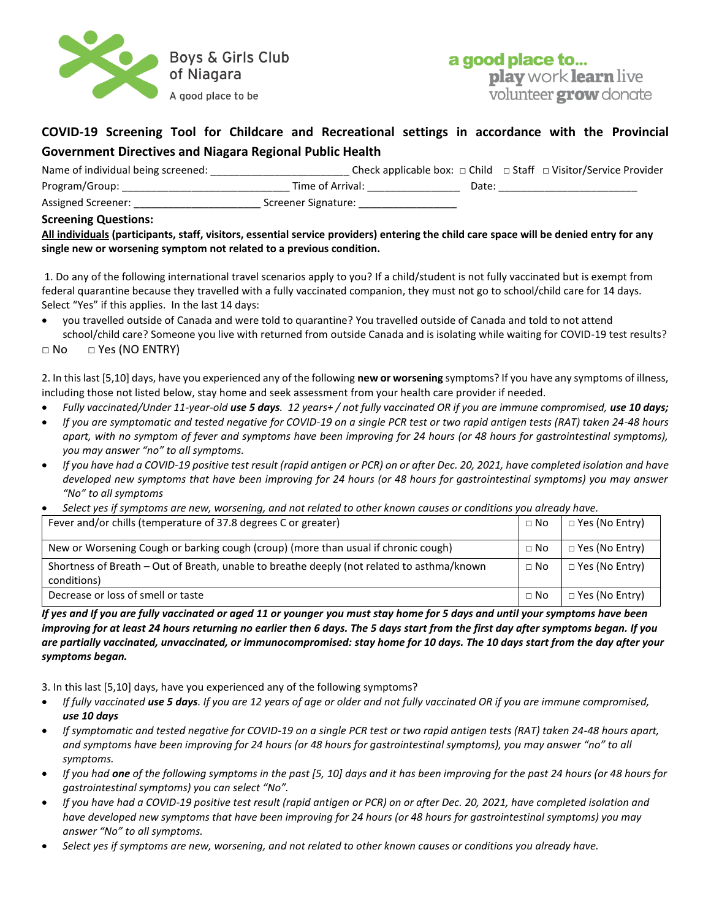

## a good place to... play work learn live volunteer **grow** donate

## **COVID-19 Screening Tool for Childcare and Recreational settings in accordance with the Provincial Government Directives and Niagara Regional Public Health**

| Name of individual being screened: |                     |       | Check applicable box: $\Box$ Child $\Box$ Staff $\Box$ Visitor/Service Provider |
|------------------------------------|---------------------|-------|---------------------------------------------------------------------------------|
| Program/Group:                     | Time of Arrival:    | Date: |                                                                                 |
| Assigned Screener:                 | Screener Signature: |       |                                                                                 |

## **Screening Questions:**

**All individuals (participants, staff, visitors, essential service providers) entering the child care space will be denied entry for any single new or worsening symptom not related to a previous condition.**

1. Do any of the following international travel scenarios apply to you? If a child/student is not fully vaccinated but is exempt from federal quarantine because they [travelled with a fully vaccinated companion,](https://www.canada.ca/en/public-health/services/diseases/2019-novel-coronavirus-infection/awareness-resources/unvaccinated-children-under-12-without-symptoms-travelling-fully-vaccinated-parents-guardians.html) they must not go to school/child care for 14 days. Select "Yes" if this applies. In the last 14 days:

• you travelled outside of Canada and were told to quarantine? You travelled outside of Canada and told to not attend school/child care? Someone you live with returned from outside Canada and is isolating while waiting for COVID-19 test results?

 $\Box$  No  $\Box$  Yes (NO ENTRY)

2. In this last [5,10] days, have you experienced any of the following **new or worsening** symptoms? If you have any symptoms of illness, including those not listed below, stay home and seek assessment from your health care provider if needed.

- *Fully vaccinated/Under 11-year-old use 5 days. 12 years+ / not fully vaccinated OR if you are immune compromised, use 10 days;*
- *If you are symptomatic and tested negative for COVID-19 on a single PCR test or two rapid antigen tests (RAT) taken 24-48 hours apart, with no symptom of fever and symptoms have been improving for 24 hours (or 48 hours for gastrointestinal symptoms), you may answer "no" to all symptoms.*
- *If you have had a COVID-19 positive test result (rapid antigen or PCR) on or after Dec. 20, 2021, have completed isolation and have developed new symptoms that have been improving for 24 hours (or 48 hours for gastrointestinal symptoms) you may answer "No" to all symptoms*
- *Select yes if symptoms are new, worsening, and not related to other known causes or conditions you already have.*

| Fever and/or chills (temperature of 37.8 degrees C or greater)                                            | $\Box$ No   | □ Yes (No Entry)      |
|-----------------------------------------------------------------------------------------------------------|-------------|-----------------------|
| New or Worsening Cough or barking cough (croup) (more than usual if chronic cough)                        | $\sqcap$ No | □ Yes (No Entry)      |
| Shortness of Breath – Out of Breath, unable to breathe deeply (not related to asthma/known<br>conditions) |             | $\Box$ Yes (No Entry) |
| Decrease or loss of smell or taste                                                                        | $\Box$ No   | $\Box$ Yes (No Entry) |

*If yes and If you are fully vaccinated or aged 11 or younger you must stay home for 5 days and until your symptoms have been improving for at least 24 hours returning no earlier then 6 days. The 5 days start from the first day after symptoms began. If you are partially vaccinated, unvaccinated, or immunocompromised: stay home for 10 days. The 10 days start from the day after your symptoms began.*

3. In this last [5,10] days, have you experienced any of the following symptoms?

- *If fully vaccinated use 5 days. If you are 12 years of age or older and not fully vaccinated OR if you are immune compromised, use 10 days*
- *If symptomatic and tested negative for COVID-19 on a single PCR test or two rapid antigen tests (RAT) taken 24-48 hours apart, and symptoms have been improving for 24 hours (or 48 hours for gastrointestinal symptoms), you may answer "no" to all symptoms.*
- *If you had one of the following symptoms in the past [5, 10] days and it has been improving for the past 24 hours (or 48 hours for gastrointestinal symptoms) you can select "No".*
- *If you have had a COVID-19 positive test result (rapid antigen or PCR) on or after Dec. 20, 2021, have completed isolation and have developed new symptoms that have been improving for 24 hours (or 48 hours for gastrointestinal symptoms) you may answer "No" to all symptoms.*
- *Select yes if symptoms are new, worsening, and not related to other known causes or conditions you already have.*